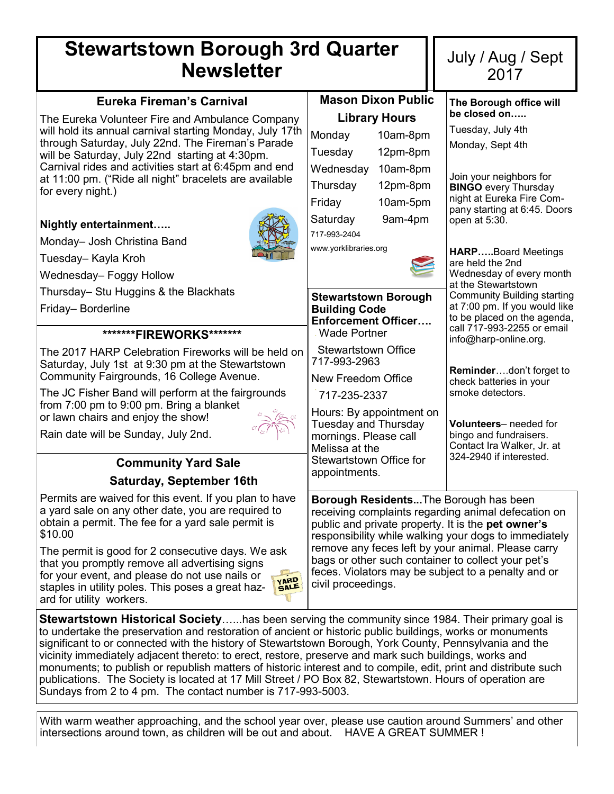# **Stewartstown Borough 3rd Quarter Newsletter**

| <b>Newsletter</b>                                                                                            |                                                                                                                                                                                                                                                                                                                             |          | 2017                                                                                         |  |
|--------------------------------------------------------------------------------------------------------------|-----------------------------------------------------------------------------------------------------------------------------------------------------------------------------------------------------------------------------------------------------------------------------------------------------------------------------|----------|----------------------------------------------------------------------------------------------|--|
| <b>Eureka Fireman's Carnival</b>                                                                             | <b>Mason Dixon Public</b>                                                                                                                                                                                                                                                                                                   |          | The Borough office will                                                                      |  |
| The Eureka Volunteer Fire and Ambulance Company                                                              | <b>Library Hours</b>                                                                                                                                                                                                                                                                                                        |          | be closed on                                                                                 |  |
| will hold its annual carnival starting Monday, July 17th                                                     | Monday                                                                                                                                                                                                                                                                                                                      | 10am-8pm | Tuesday, July 4th                                                                            |  |
| through Saturday, July 22nd. The Fireman's Parade<br>will be Saturday, July 22nd starting at 4:30pm.         | Tuesday                                                                                                                                                                                                                                                                                                                     | 12pm-8pm | Monday, Sept 4th                                                                             |  |
| Carnival rides and activities start at 6:45pm and end                                                        | Wednesday                                                                                                                                                                                                                                                                                                                   | 10am-8pm |                                                                                              |  |
| at 11:00 pm. ("Ride all night" bracelets are available<br>for every night.)                                  | Thursday                                                                                                                                                                                                                                                                                                                    | 12pm-8pm | Join your neighbors for<br><b>BINGO</b> every Thursday                                       |  |
|                                                                                                              | Friday                                                                                                                                                                                                                                                                                                                      | 10am-5pm | night at Eureka Fire Com-                                                                    |  |
| Nightly entertainment                                                                                        | Saturday                                                                                                                                                                                                                                                                                                                    | 9am-4pm  | pany starting at 6:45. Doors<br>open at 5:30.                                                |  |
| Monday- Josh Christina Band                                                                                  | 717-993-2404                                                                                                                                                                                                                                                                                                                |          |                                                                                              |  |
| Tuesday- Kayla Kroh                                                                                          | www.yorklibraries.org                                                                                                                                                                                                                                                                                                       |          | <b>HARPBoard Meetings</b>                                                                    |  |
| Wednesday- Foggy Hollow                                                                                      |                                                                                                                                                                                                                                                                                                                             |          | are held the 2nd<br>Wednesday of every month                                                 |  |
| Thursday- Stu Huggins & the Blackhats                                                                        |                                                                                                                                                                                                                                                                                                                             |          | at the Stewartstown                                                                          |  |
| Friday-Borderline                                                                                            | <b>Stewartstown Borough</b><br><b>Building Code</b>                                                                                                                                                                                                                                                                         |          | <b>Community Building starting</b><br>at 7:00 pm. If you would like                          |  |
|                                                                                                              | <b>Enforcement Officer</b>                                                                                                                                                                                                                                                                                                  |          | to be placed on the agenda,                                                                  |  |
| *******FIREWORKS*******                                                                                      | <b>Wade Portner</b>                                                                                                                                                                                                                                                                                                         |          | call 717-993-2255 or email<br>info@harp-online.org.                                          |  |
| The 2017 HARP Celebration Fireworks will be held on                                                          | <b>Stewartstown Office</b><br>717-993-2963                                                                                                                                                                                                                                                                                  |          |                                                                                              |  |
| Saturday, July 1st at 9:30 pm at the Stewartstown<br>Community Fairgrounds, 16 College Avenue.               |                                                                                                                                                                                                                                                                                                                             |          | Reminderdon't forget to                                                                      |  |
| The JC Fisher Band will perform at the fairgrounds                                                           | New Freedom Office<br>717-235-2337                                                                                                                                                                                                                                                                                          |          | check batteries in your<br>smoke detectors.                                                  |  |
| from 7:00 pm to 9:00 pm. Bring a blanket                                                                     |                                                                                                                                                                                                                                                                                                                             |          |                                                                                              |  |
| or lawn chairs and enjoy the show!                                                                           | Hours: By appointment on<br><b>Tuesday and Thursday</b>                                                                                                                                                                                                                                                                     |          | Volunteers-needed for                                                                        |  |
| Rain date will be Sunday, July 2nd.                                                                          | mornings. Please call                                                                                                                                                                                                                                                                                                       |          | bingo and fundraisers.<br>Contact Ira Walker, Jr. at                                         |  |
| <b>Community Yard Sale</b>                                                                                   | Melissa at the<br>Stewartstown Office for                                                                                                                                                                                                                                                                                   |          | 324-2940 if interested.                                                                      |  |
| <b>Saturday, September 16th</b>                                                                              | appointments.                                                                                                                                                                                                                                                                                                               |          |                                                                                              |  |
|                                                                                                              |                                                                                                                                                                                                                                                                                                                             |          |                                                                                              |  |
| Permits are waived for this event. If you plan to have<br>a yard sale on any other date, you are required to |                                                                                                                                                                                                                                                                                                                             |          | Borough ResidentsThe Borough has been<br>receiving complaints regarding animal defecation on |  |
| obtain a permit. The fee for a yard sale permit is                                                           | public and private property. It is the <b>pet owner's</b><br>responsibility while walking your dogs to immediately<br>remove any feces left by your animal. Please carry<br>bags or other such container to collect your pet's<br>feces. Violators may be subject to a penalty and or<br>YARD<br>SALE<br>civil proceedings. |          |                                                                                              |  |
| \$10.00                                                                                                      |                                                                                                                                                                                                                                                                                                                             |          |                                                                                              |  |
| The permit is good for 2 consecutive days. We ask<br>that you promptly remove all advertising signs          |                                                                                                                                                                                                                                                                                                                             |          |                                                                                              |  |
| for your event, and please do not use nails or                                                               |                                                                                                                                                                                                                                                                                                                             |          |                                                                                              |  |
| staples in utility poles. This poses a great haz-<br>ard for utility workers.                                |                                                                                                                                                                                                                                                                                                                             |          |                                                                                              |  |
|                                                                                                              |                                                                                                                                                                                                                                                                                                                             |          |                                                                                              |  |
| <b>Stewartstown Historical Societyhas been serving the community since 1984. Their primary goal is</b>       |                                                                                                                                                                                                                                                                                                                             |          |                                                                                              |  |
| to undertake the preservation and restoration of ancient or historic public buildings, works or monuments    |                                                                                                                                                                                                                                                                                                                             |          |                                                                                              |  |

July / Aug / Sept

significant to or connected with the history of Stewartstown Borough, York County, Pennsylvania and the vicinity immediately adjacent thereto: to erect, restore, preserve and mark such buildings, works and monuments; to publish or republish matters of historic interest and to compile, edit, print and distribute such publications. The Society is located at 17 Mill Street / PO Box 82, Stewartstown. Hours of operation are Sundays from 2 to 4 pm. The contact number is 717-993-5003.

With warm weather approaching, and the school year over, please use caution around Summers' and other intersections around town, as children will be out and about. HAVE A GREAT SUMMER !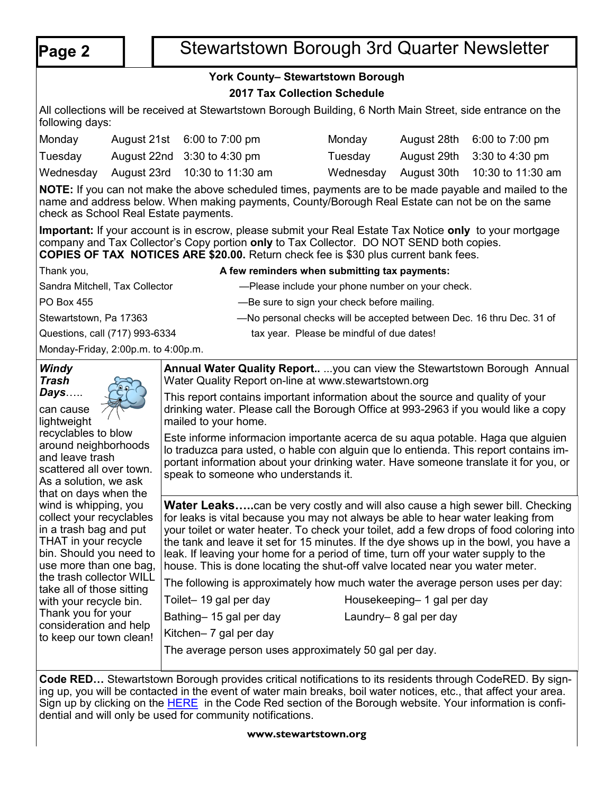# **Page 2** | Stewartstown Borough 3rd Quarter Newsletter

# **York County– Stewartstown Borough**

## **2017 Tax Collection Schedule**

All collections will be received at Stewartstown Borough Building, 6 North Main Street, side entrance on the following days:

| Monday  | August 21st 6:00 to 7:00 pm             | Monday  | August 28th 6:00 to 7:00 pm             |
|---------|-----------------------------------------|---------|-----------------------------------------|
| Tuesday | August 22nd 3:30 to 4:30 pm             | Tuesdav | August 29th 3:30 to 4:30 pm             |
|         | Wednesday August 23rd 10:30 to 11:30 am |         | Wednesday August 30th 10:30 to 11:30 am |

**NOTE:** If you can not make the above scheduled times, payments are to be made payable and mailed to the name and address below. When making payments, County/Borough Real Estate can not be on the same check as School Real Estate payments.

**Important:** If your account is in escrow, please submit your Real Estate Tax Notice **only** to your mortgage company and Tax Collector's Copy portion **only** to Tax Collector. DO NOT SEND both copies. **COPIES OF TAX NOTICES ARE \$20.00.** Return check fee is \$30 plus current bank fees.

Thank you, **A few reminders when submitting tax payments:** Sandra Mitchell, Tax Collector **Example 2** — Please include your phone number on your check. PO Box 455 **EXECUTE:** However, and the same to sign your check before mailing. Stewartstown, Pa 17363 — Ro personal checks will be accepted between Dec. 16 thru Dec. 31 of Questions, call (717) 993-6334 tax year. Please be mindful of due dates! Monday-Friday, 2:00p.m. to 4:00p.m.

| Windy<br>Trash                                                                                                                                           | <b>Annual Water Quality Report</b> you can view the Stewartstown Borough Annual<br>Water Quality Report on-line at www.stewartstown.org                                                                                                                                                                                                                                                                                                                                                                                               |                                                                                                            |  |
|----------------------------------------------------------------------------------------------------------------------------------------------------------|---------------------------------------------------------------------------------------------------------------------------------------------------------------------------------------------------------------------------------------------------------------------------------------------------------------------------------------------------------------------------------------------------------------------------------------------------------------------------------------------------------------------------------------|------------------------------------------------------------------------------------------------------------|--|
| Days<br>can cause<br>lightweight                                                                                                                         | This report contains important information about the source and quality of your<br>drinking water. Please call the Borough Office at 993-2963 if you would like a copy<br>mailed to your home.                                                                                                                                                                                                                                                                                                                                        |                                                                                                            |  |
| recyclables to blow<br>around neighborhoods<br>and leave trash<br>scattered all over town.<br>As a solution, we ask<br>that on days when the             | Este informe informacion importante acerca de su aqua potable. Haga que alguien<br>lo traduzca para usted, o hable con alguin que lo entienda. This report contains im-<br>portant information about your drinking water. Have someone translate it for you, or<br>speak to someone who understands it.                                                                                                                                                                                                                               |                                                                                                            |  |
| wind is whipping, you<br>collect your recyclables<br>in a trash bag and put<br>THAT in your recycle<br>bin. Should you need to<br>use more than one bag, | <b>Water Leaks</b> can be very costly and will also cause a high sewer bill. Checking<br>for leaks is vital because you may not always be able to hear water leaking from<br>your toilet or water heater. To check your toilet, add a few drops of food coloring into<br>the tank and leave it set for 15 minutes. If the dye shows up in the bowl, you have a<br>leak. If leaving your home for a period of time, turn off your water supply to the<br>house. This is done locating the shut-off valve located near you water meter. |                                                                                                            |  |
| the trash collector WILL<br>take all of those sitting                                                                                                    | The following is approximately how much water the average person uses per day:                                                                                                                                                                                                                                                                                                                                                                                                                                                        |                                                                                                            |  |
| with your recycle bin.                                                                                                                                   | Toilet-19 gal per day                                                                                                                                                                                                                                                                                                                                                                                                                                                                                                                 | Housekeeping- 1 gal per day                                                                                |  |
| Thank you for your<br>consideration and help                                                                                                             | Bathing-15 gal per day                                                                                                                                                                                                                                                                                                                                                                                                                                                                                                                | Laundry-8 gal per day                                                                                      |  |
| to keep our town clean!                                                                                                                                  | Kitchen- 7 gal per day                                                                                                                                                                                                                                                                                                                                                                                                                                                                                                                |                                                                                                            |  |
|                                                                                                                                                          | The average person uses approximately 50 gal per day.                                                                                                                                                                                                                                                                                                                                                                                                                                                                                 |                                                                                                            |  |
| $O = 4$ . DER                                                                                                                                            |                                                                                                                                                                                                                                                                                                                                                                                                                                                                                                                                       | $O$ to contain the Departure provided with all positions to the position to the couple $O$ and DED. Durate |  |

**Code RED…** Stewartstown Borough provides critical notifications to its residents through CodeRED. By signing up, you will be contacted in the event of water main breaks, boil water notices, etc., that affect your area. Sign up by clicking on the **[HERE](https://public.coderedweb.com/cne/en-us/f9ec63def2b4)** in the Code Red section of the Borough website. Your information is confidential and will only be used for community notifications.

## **www.stewartstown.org**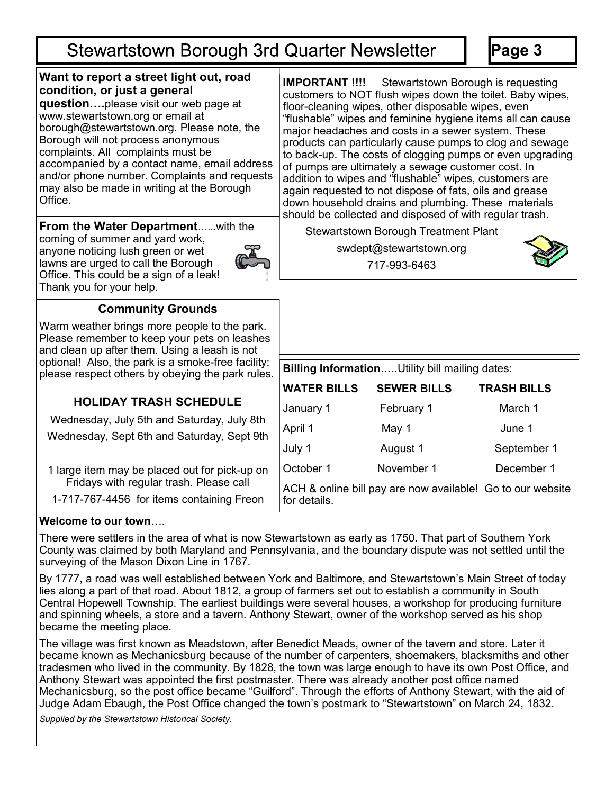# **Stewartstown Borough 3rd Quarter Newsletter**

**Page 3**

| Want to report a street light out, road<br>condition, or just a general<br>questionplease visit our web page at<br>www.stewartstown.org or email at<br>borough@stewartstown.org. Please note, the<br>Borough will not process anonymous<br>complaints. All complaints must be<br>accompanied by a contact name, email address<br>and/or phone number. Complaints and requests<br>may also be made in writing at the Borough<br>Office. | <b>IMPORTANT !!!!</b> Stewartstown Borough is requesting<br>customers to NOT flush wipes down the toilet. Baby wipes,<br>floor-cleaning wipes, other disposable wipes, even<br>"flushable" wipes and feminine hygiene items all can cause<br>major headaches and costs in a sewer system. These<br>products can particularly cause pumps to clog and sewage<br>to back-up. The costs of clogging pumps or even upgrading<br>of pumps are ultimately a sewage customer cost. In<br>addition to wipes and "flushable" wipes, customers are<br>again requested to not dispose of fats, oils and grease<br>down household drains and plumbing. These materials |                    |                    |
|----------------------------------------------------------------------------------------------------------------------------------------------------------------------------------------------------------------------------------------------------------------------------------------------------------------------------------------------------------------------------------------------------------------------------------------|------------------------------------------------------------------------------------------------------------------------------------------------------------------------------------------------------------------------------------------------------------------------------------------------------------------------------------------------------------------------------------------------------------------------------------------------------------------------------------------------------------------------------------------------------------------------------------------------------------------------------------------------------------|--------------------|--------------------|
| From the Water Departmentwith the<br>coming of summer and yard work,<br>anyone noticing lush green or wet<br>lawns are urged to call the Borough<br>Office. This could be a sign of a leak!<br>Thank you for your help.                                                                                                                                                                                                                | should be collected and disposed of with regular trash.<br><b>Stewartstown Borough Treatment Plant</b><br>swdept@stewartstown.org<br>717-993-6463                                                                                                                                                                                                                                                                                                                                                                                                                                                                                                          |                    |                    |
| <b>Community Grounds</b>                                                                                                                                                                                                                                                                                                                                                                                                               |                                                                                                                                                                                                                                                                                                                                                                                                                                                                                                                                                                                                                                                            |                    |                    |
| Warm weather brings more people to the park.<br>Please remember to keep your pets on leashes<br>and clean up after them. Using a leash is not                                                                                                                                                                                                                                                                                          |                                                                                                                                                                                                                                                                                                                                                                                                                                                                                                                                                                                                                                                            |                    |                    |
| optional! Also, the park is a smoke-free facility;<br>please respect others by obeying the park rules.                                                                                                                                                                                                                                                                                                                                 | Billing InformationUtility bill mailing dates:                                                                                                                                                                                                                                                                                                                                                                                                                                                                                                                                                                                                             |                    |                    |
|                                                                                                                                                                                                                                                                                                                                                                                                                                        | <b>WATER BILLS</b>                                                                                                                                                                                                                                                                                                                                                                                                                                                                                                                                                                                                                                         | <b>SEWER BILLS</b> | <b>TRASH BILLS</b> |
| <b>HOLIDAY TRASH SCHEDULE</b><br>Wednesday, July 5th and Saturday, July 8th<br>Wednesday, Sept 6th and Saturday, Sept 9th                                                                                                                                                                                                                                                                                                              | January 1                                                                                                                                                                                                                                                                                                                                                                                                                                                                                                                                                                                                                                                  | February 1         | March 1            |
|                                                                                                                                                                                                                                                                                                                                                                                                                                        | April 1                                                                                                                                                                                                                                                                                                                                                                                                                                                                                                                                                                                                                                                    | May 1              | June 1             |
|                                                                                                                                                                                                                                                                                                                                                                                                                                        | July 1                                                                                                                                                                                                                                                                                                                                                                                                                                                                                                                                                                                                                                                     | August 1           | September 1        |
| 1 large item may be placed out for pick-up on                                                                                                                                                                                                                                                                                                                                                                                          | October 1                                                                                                                                                                                                                                                                                                                                                                                                                                                                                                                                                                                                                                                  | November 1         | December 1         |
| Fridays with regular trash. Please call<br>1-717-767-4456 for items containing Freon                                                                                                                                                                                                                                                                                                                                                   | ACH & online bill pay are now available! Go to our website<br>for details.                                                                                                                                                                                                                                                                                                                                                                                                                                                                                                                                                                                 |                    |                    |

## **Welcome to our town**….

There were settlers in the area of what is now Stewartstown as early as 1750. That part of Southern York County was claimed by both Maryland and Pennsylvania, and the boundary dispute was not settled until the surveying of the Mason Dixon Line in 1767.

By 1777, a road was well established between York and Baltimore, and Stewartstown's Main Street of today lies along a part of that road. About 1812, a group of farmers set out to establish a community in South Central Hopewell Township. The earliest buildings were several houses, a workshop for producing furniture and spinning wheels, a store and a tavern. Anthony Stewart, owner of the workshop served as his shop became the meeting place.

The village was first known as Meadstown, after Benedict Meads, owner of the tavern and store. Later it became known as Mechanicsburg because of the number of carpenters, shoemakers, blacksmiths and other tradesmen who lived in the community. By 1828, the town was large enough to have its own Post Office, and Anthony Stewart was appointed the first postmaster. There was already another post office named Mechanicsburg, so the post office became "Guilford". Through the efforts of Anthony Stewart, with the aid of Judge Adam Ebaugh, the Post Office changed the town's postmark to "Stewartstown" on March 24, 1832.

*Supplied by the Stewartstown Historical Society.*